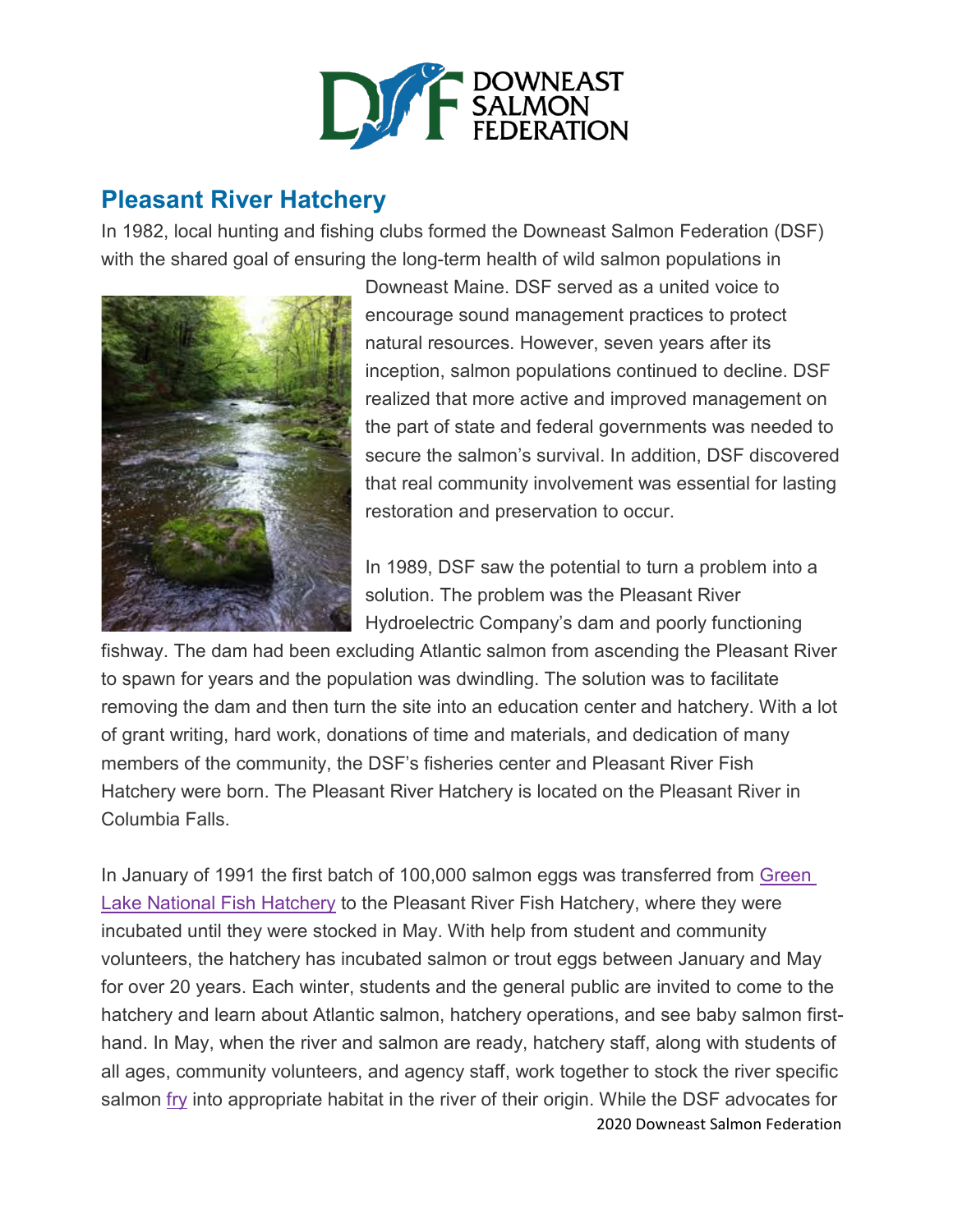

## **Pleasant River Hatchery**

In 1982, local hunting and fishing clubs formed the Downeast Salmon Federation (DSF) with the shared goal of ensuring the long-term health of wild salmon populations in



Downeast Maine. DSF served as a united voice to encourage sound management practices to protect natural resources. However, seven years after its inception, salmon populations continued to decline. DSF realized that more active and improved management on the part of state and federal governments was needed to secure the salmon's survival. In addition, DSF discovered that real community involvement was essential for lasting restoration and preservation to occur.

In 1989, DSF saw the potential to turn a problem into a solution. The problem was the Pleasant River Hydroelectric Company's dam and poorly functioning

fishway. The dam had been excluding Atlantic salmon from ascending the Pleasant River to spawn for years and the population was dwindling. The solution was to facilitate removing the dam and then turn the site into an education center and hatchery. With a lot of grant writing, hard work, donations of time and materials, and dedication of many members of the community, the DSF's fisheries center and Pleasant River Fish Hatchery were born. The Pleasant River Hatchery is located on the Pleasant River in Columbia Falls.

2020 Downeast Salmon Federation In January of 1991 the first batch of 100,000 salmon eggs was transferred from [Green](http://www.google.com/url?q=http%3A%2F%2Fwww.fws.gov%2Fnortheast%2Fcraigbrook%2F&sa=D&sntz=1&usg=AFQjCNH8TuuDhv3Fo_CE_u_ODjDo50o4nA) **Lake National Fish [Hatchery](http://www.google.com/url?q=http%3A%2F%2Fwww.fws.gov%2Fnortheast%2Fcraigbrook%2F&sa=D&sntz=1&usg=AFQjCNH8TuuDhv3Fo_CE_u_ODjDo50o4nA) to the Pleasant River Fish Hatchery, where they were** incubated until they were stocked in May. With help from student and community volunteers, the hatchery has incubated salmon or trout eggs between January and May for over 20 years. Each winter, students and the general public are invited to come to the hatchery and learn about Atlantic salmon, hatchery operations, and see baby salmon firsthand. In May, when the river and salmon are ready, hatchery staff, along with students of all ages, community volunteers, and agency staff, work together to stock the river specific salmon [fry](https://mainesalmonrivers.org/education-outreach/glossary/#fry) into appropriate habitat in the river of their origin. While the DSF advocates for